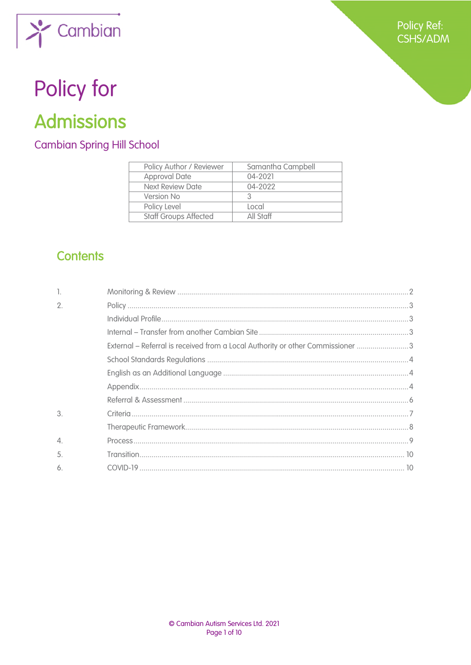

# Policy for

## **Admissions**

### **Cambian Spring Hill School**

| Policy Author / Reviewer     | Samantha Campbell |
|------------------------------|-------------------|
| <b>Approval Date</b>         | 04-2021           |
| <b>Next Review Date</b>      | 04-2022           |
| Version No                   |                   |
| Policy Level                 | Local             |
| <b>Staff Groups Affected</b> | All Staff         |

## **Contents**

| 1.               |                                                                                |  |
|------------------|--------------------------------------------------------------------------------|--|
| $\mathfrak{2}$ . |                                                                                |  |
|                  |                                                                                |  |
|                  |                                                                                |  |
|                  | External – Referral is received from a Local Authority or other Commissioner 3 |  |
|                  |                                                                                |  |
|                  |                                                                                |  |
|                  |                                                                                |  |
|                  |                                                                                |  |
| 3.               |                                                                                |  |
|                  |                                                                                |  |
| $\overline{4}$ . |                                                                                |  |
| 5.               |                                                                                |  |
| 6.               |                                                                                |  |
|                  |                                                                                |  |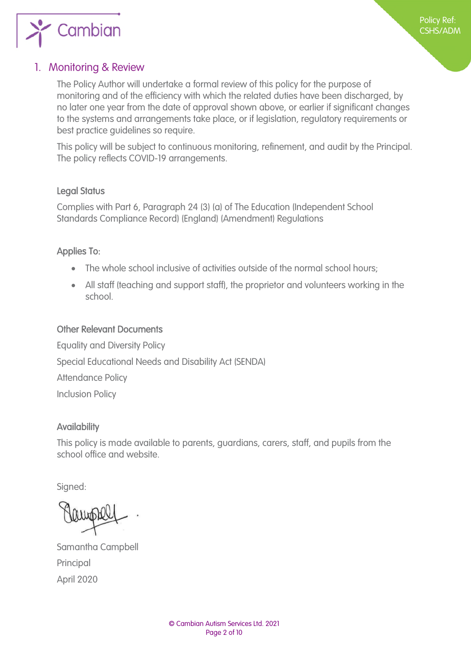

#### <span id="page-1-0"></span>1. Monitoring & Review

The Policy Author will undertake a formal review of this policy for the purpose of monitoring and of the efficiency with which the related duties have been discharged, by no later one year from the date of approval shown above, or earlier if significant changes to the systems and arrangements take place, or if legislation, regulatory requirements or best practice guidelines so require.

This policy will be subject to continuous monitoring, refinement, and audit by the Principal. The policy reflects COVID-19 arrangements.

#### Legal Status

Complies with Part 6, Paragraph 24 (3) (a) of The Education (Independent School Standards Compliance Record) (England) (Amendment) Regulations

#### Applies To:

- The whole school inclusive of activities outside of the normal school hours;
- All staff (teaching and support staff), the proprietor and volunteers working in the school.

#### Other Relevant Documents

Equality and Diversity Policy Special Educational Needs and Disability Act (SENDA) Attendance Policy Inclusion Policy

#### **Availability**

This policy is made available to parents, guardians, carers, staff, and pupils from the school office and website.

Signed:

Samantha Campbell Principal April 2020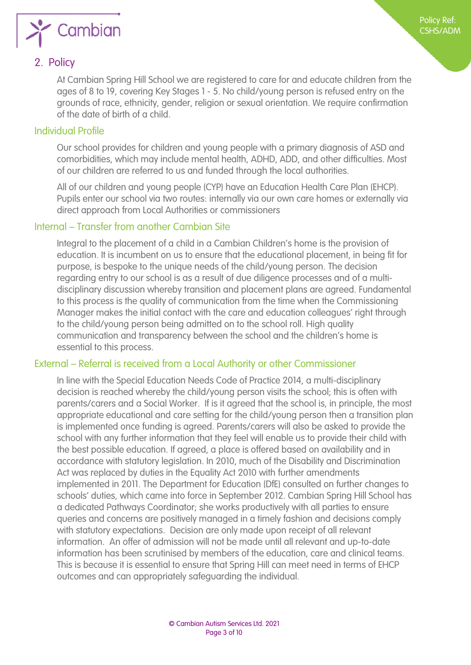

#### <span id="page-2-1"></span>2. Policy

<span id="page-2-0"></span>At Cambian Spring Hill School we are registered to care for and educate children from the ages of 8 to 19, covering Key Stages 1 - 5. No child/young person is refused entry on the grounds of race, ethnicity, gender, religion or sexual orientation. We require confirmation of the date of birth of a child.

Policy Ref: CSHS/ADM

#### <span id="page-2-2"></span>Individual Profile

Our school provides for children and young people with a primary diagnosis of ASD and comorbidities, which may include mental health, ADHD, ADD, and other difficulties. Most of our children are referred to us and funded through the local authorities.

All of our children and young people (CYP) have an Education Health Care Plan (EHCP). Pupils enter our school via two routes: internally via our own care homes or externally via direct approach from Local Authorities or commissioners

#### <span id="page-2-3"></span>Internal – Transfer from another Cambian Site

Integral to the placement of a child in a Cambian Children's home is the provision of education. It is incumbent on us to ensure that the educational placement, in being fit for purpose, is bespoke to the unique needs of the child/young person. The decision regarding entry to our school is as a result of due diligence processes and of a multidisciplinary discussion whereby transition and placement plans are agreed. Fundamental to this process is the quality of communication from the time when the Commissioning Manager makes the initial contact with the care and education colleagues' right through to the child/young person being admitted on to the school roll. High quality communication and transparency between the school and the children's home is essential to this process.

#### <span id="page-2-4"></span>External – Referral is received from a Local Authority or other Commissioner

In line with the Special Education Needs Code of Practice 2014, a multi-disciplinary decision is reached whereby the child/young person visits the school; this is often with parents/carers and a Social Worker. If is it agreed that the school is, in principle, the most appropriate educational and care setting for the child/young person then a transition plan is implemented once funding is agreed. Parents/carers will also be asked to provide the school with any further information that they feel will enable us to provide their child with the best possible education. If agreed, a place is offered based on availability and in accordance with statutory legislation. In 2010, much of the Disability and Discrimination Act was replaced by duties in the Equality Act 2010 with further amendments implemented in 2011. The Department for Education (DfE) consulted on further changes to schools' duties, which came into force in September 2012. Cambian Spring Hill School has a dedicated Pathways Coordinator; she works productively with all parties to ensure queries and concerns are positively managed in a timely fashion and decisions comply with statutory expectations. Decision are only made upon receipt of all relevant information. An offer of admission will not be made until all relevant and up-to-date information has been scrutinised by members of the education, care and clinical teams. This is because it is essential to ensure that Spring Hill can meet need in terms of EHCP outcomes and can appropriately safeguarding the individual.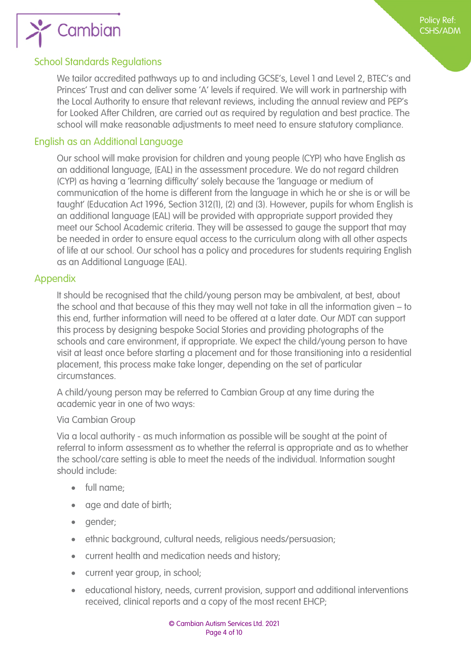

#### <span id="page-3-1"></span>School Standards Regulations

<span id="page-3-0"></span>We tailor accredited pathways up to and including GCSE's, Level 1 and Level 2, BTEC's and Princes' Trust and can deliver some 'A' levels if required. We will work in partnership with the Local Authority to ensure that relevant reviews, including the annual review and PEP's for Looked After Children, are carried out as required by regulation and best practice. The school will make reasonable adjustments to meet need to ensure statutory compliance.

#### <span id="page-3-2"></span>English as an Additional Language

Our school will make provision for children and young people (CYP) who have English as an additional language, (EAL) in the assessment procedure. We do not regard children (CYP) as having a 'learning difficulty' solely because the 'language or medium of communication of the home is different from the language in which he or she is or will be taught' (Education Act 1996, Section 312(1), (2) and (3). However, pupils for whom English is an additional language (EAL) will be provided with appropriate support provided they meet our School Academic criteria. They will be assessed to gauge the support that may be needed in order to ensure equal access to the curriculum along with all other aspects of life at our school. Our school has a policy and procedures for students requiring English as an Additional Language (EAL).

#### <span id="page-3-3"></span>Appendix

It should be recognised that the child/young person may be ambivalent, at best, about the school and that because of this they may well not take in all the information given – to this end, further information will need to be offered at a later date. Our MDT can support this process by designing bespoke Social Stories and providing photographs of the schools and care environment, if appropriate. We expect the child/young person to have visit at least once before starting a placement and for those transitioning into a residential placement, this process make take longer, depending on the set of particular circumstances.

A child/young person may be referred to Cambian Group at any time during the academic year in one of two ways:

#### Via Cambian Group

Via a local authority - as much information as possible will be sought at the point of referral to inform assessment as to whether the referral is appropriate and as to whether the school/care setting is able to meet the needs of the individual. Information sought should include:

- full name;
- age and date of birth;
- gender;
- **•** ethnic background, cultural needs, religious needs/persuasion;
- current health and medication needs and history;
- current year group, in school;
- educational history, needs, current provision, support and additional interventions received, clinical reports and a copy of the most recent EHCP;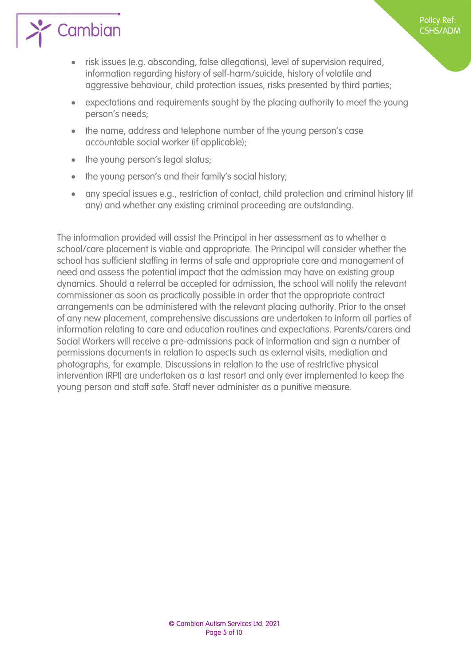

- risk issues (e.g. absconding, false allegations), level of supervision required, information regarding history of self-harm/suicide, history of volatile and aggressive behaviour, child protection issues, risks presented by third parties;
- expectations and requirements sought by the placing authority to meet the young person's needs;

Policy Ref: CSHS/ADM

- the name, address and telephone number of the young person's case accountable social worker (if applicable);
- the young person's legal status;
- the young person's and their family's social history;
- any special issues e.g., restriction of contact, child protection and criminal history (if any) and whether any existing criminal proceeding are outstanding.

The information provided will assist the Principal in her assessment as to whether a school/care placement is viable and appropriate. The Principal will consider whether the school has sufficient staffing in terms of safe and appropriate care and management of need and assess the potential impact that the admission may have on existing group dynamics. Should a referral be accepted for admission, the school will notify the relevant commissioner as soon as practically possible in order that the appropriate contract arrangements can be administered with the relevant placing authority. Prior to the onset of any new placement, comprehensive discussions are undertaken to inform all parties of information relating to care and education routines and expectations. Parents/carers and Social Workers will receive a pre-admissions pack of information and sign a number of permissions documents in relation to aspects such as external visits, mediation and photographs, for example. Discussions in relation to the use of restrictive physical intervention (RPI) are undertaken as a last resort and only ever implemented to keep the young person and staff safe. Staff never administer as a punitive measure.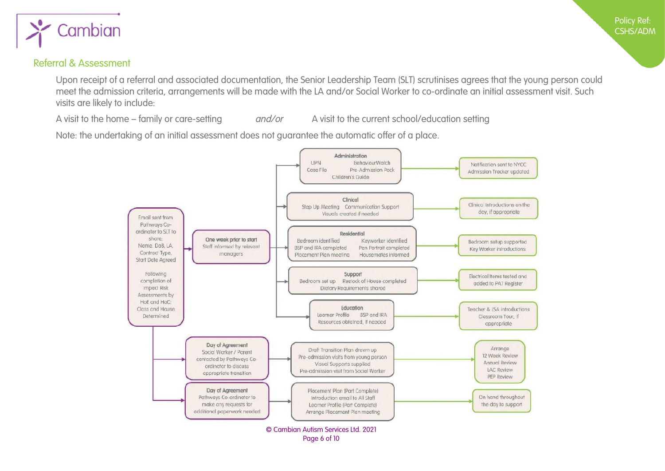

#### Referral & Assessment

Upon receipt of a referral and associated documentation, the Senior Leadership Team (SLT) scrutinises agrees that the young person could meet the admission criteria, arrangements will be made with the LA and/or Social Worker to co-ordinate an initial assessment visit. Such visits are likely to include:

A visit to the home – family or care-setting and/or A visit to the current school/education setting

<span id="page-5-1"></span><span id="page-5-0"></span>Note: the undertaking of an initial assessment does not guarantee the automatic offer of a place.

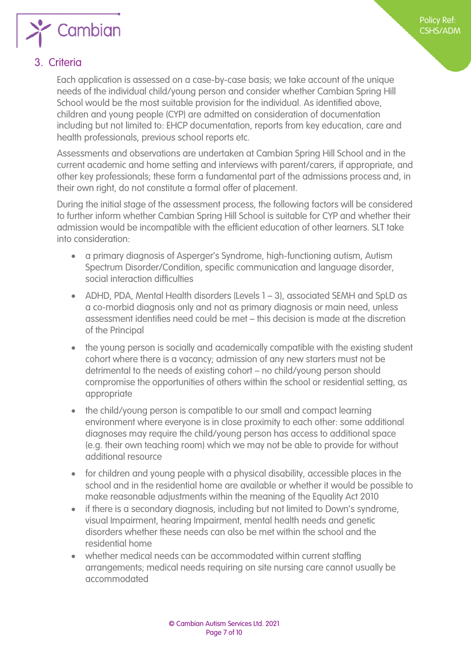

Policy Ref: CSHS/ADM

#### <span id="page-6-1"></span>3. Criteria

<span id="page-6-0"></span>Each application is assessed on a case-by-case basis; we take account of the unique needs of the individual child/young person and consider whether Cambian Spring Hill School would be the most suitable provision for the individual. As identified above, children and young people (CYP) are admitted on consideration of documentation including but not limited to: EHCP documentation, reports from key education, care and health professionals, previous school reports etc.

Assessments and observations are undertaken at Cambian Spring Hill School and in the current academic and home setting and interviews with parent/carers, if appropriate, and other key professionals; these form a fundamental part of the admissions process and, in their own right, do not constitute a formal offer of placement.

During the initial stage of the assessment process, the following factors will be considered to further inform whether Cambian Spring Hill School is suitable for CYP and whether their admission would be incompatible with the efficient education of other learners. SLT take into consideration:

- a primary diagnosis of Asperger's Syndrome, high-functioning autism, Autism Spectrum Disorder/Condition, specific communication and language disorder, social interaction difficulties
- ADHD, PDA, Mental Health disorders (Levels 1 3), associated SEMH and SpLD as a co-morbid diagnosis only and not as primary diagnosis or main need, unless assessment identifies need could be met – this decision is made at the discretion of the Principal
- the young person is socially and academically compatible with the existing student cohort where there is a vacancy; admission of any new starters must not be detrimental to the needs of existing cohort – no child/young person should compromise the opportunities of others within the school or residential setting, as appropriate
- the child/young person is compatible to our small and compact learning environment where everyone is in close proximity to each other: some additional diagnoses may require the child/young person has access to additional space (e.g. their own teaching room) which we may not be able to provide for without additional resource
- for children and young people with a physical disability, accessible places in the school and in the residential home are available or whether it would be possible to make reasonable adjustments within the meaning of the Equality Act 2010
- if there is a secondary diagnosis, including but not limited to Down's syndrome, visual Impairment, hearing Impairment, mental health needs and genetic disorders whether these needs can also be met within the school and the residential home
- whether medical needs can be accommodated within current staffing arrangements; medical needs requiring on site nursing care cannot usually be accommodated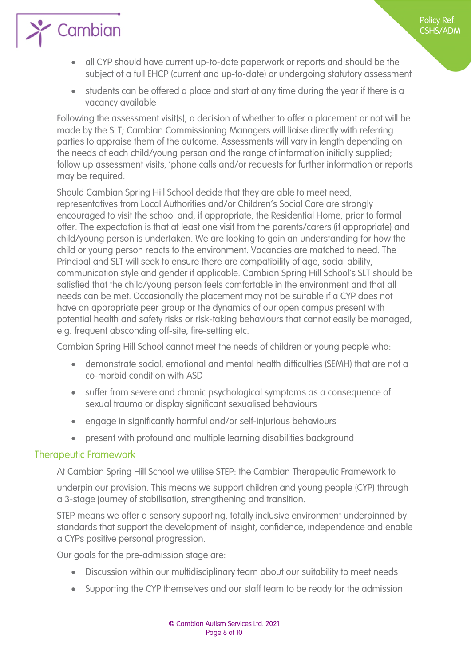Policy Ref: CSHS/ADM

- all CYP should have current up-to-date paperwork or reports and should be the subject of a full EHCP (current and up-to-date) or undergoing statutory assessment
- students can be offered a place and start at any time during the year if there is a vacancy available

Following the assessment visit(s), a decision of whether to offer a placement or not will be made by the SLT; Cambian Commissioning Managers will liaise directly with referring parties to appraise them of the outcome. Assessments will vary in length depending on the needs of each child/young person and the range of information initially supplied; follow up assessment visits, 'phone calls and/or requests for further information or reports may be required.

Should Cambian Spring Hill School decide that they are able to meet need, representatives from Local Authorities and/or Children's Social Care are strongly encouraged to visit the school and, if appropriate, the Residential Home, prior to formal offer. The expectation is that at least one visit from the parents/carers (if appropriate) and child/young person is undertaken. We are looking to gain an understanding for how the child or young person reacts to the environment. Vacancies are matched to need. The Principal and SLT will seek to ensure there are compatibility of age, social ability, communication style and gender if applicable. Cambian Spring Hill School's SLT should be satisfied that the child/young person feels comfortable in the environment and that all needs can be met. Occasionally the placement may not be suitable if a CYP does not have an appropriate peer group or the dynamics of our open campus present with potential health and safety risks or risk-taking behaviours that cannot easily be managed, e.g. frequent absconding off-site, fire-setting etc.

Cambian Spring Hill School cannot meet the needs of children or young people who:

- demonstrate social, emotional and mental health difficulties (SEMH) that are not a co-morbid condition with ASD
- suffer from severe and chronic psychological symptoms as a consequence of sexual trauma or display significant sexualised behaviours
- engage in significantly harmful and/or self-injurious behaviours
- <span id="page-7-0"></span>• present with profound and multiple learning disabilities background

#### Therapeutic Framework

 $\sum$  Cambian

At Cambian Spring Hill School we utilise STEP: the Cambian Therapeutic Framework to

underpin our provision. This means we support children and young people (CYP) through a 3-stage journey of stabilisation, strengthening and transition.

STEP means we offer a sensory supporting, totally inclusive environment underpinned by standards that support the development of insight, confidence, independence and enable a CYPs positive personal progression.

Our goals for the pre-admission stage are:

- Discussion within our multidisciplinary team about our suitability to meet needs
- Supporting the CYP themselves and our staff team to be ready for the admission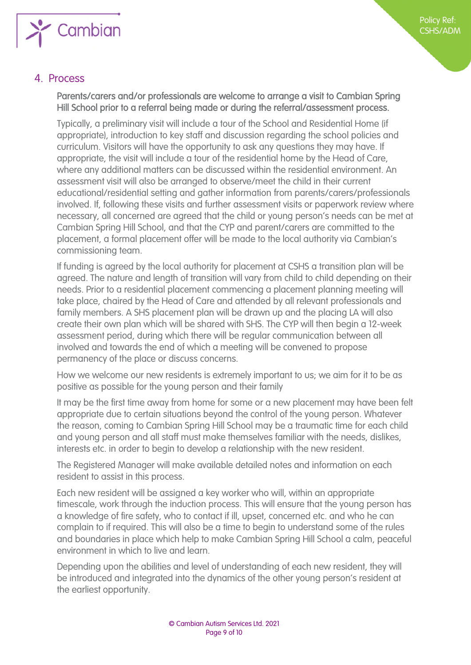

#### 4. Process

#### <span id="page-8-0"></span>Parents/carers and/or professionals are welcome to arrange a visit to Cambian Spring Hill School prior to a referral being made or during the referral/assessment process.

Typically, a preliminary visit will include a tour of the School and Residential Home (if appropriate), introduction to key staff and discussion regarding the school policies and curriculum. Visitors will have the opportunity to ask any questions they may have. If appropriate, the visit will include a tour of the residential home by the Head of Care, where any additional matters can be discussed within the residential environment. An assessment visit will also be arranged to observe/meet the child in their current educational/residential setting and gather information from parents/carers/professionals involved. If, following these visits and further assessment visits or paperwork review where necessary, all concerned are agreed that the child or young person's needs can be met at Cambian Spring Hill School, and that the CYP and parent/carers are committed to the placement, a formal placement offer will be made to the local authority via Cambian's commissioning team.

If funding is agreed by the local authority for placement at CSHS a transition plan will be agreed. The nature and length of transition will vary from child to child depending on their needs. Prior to a residential placement commencing a placement planning meeting will take place, chaired by the Head of Care and attended by all relevant professionals and family members. A SHS placement plan will be drawn up and the placing LA will also create their own plan which will be shared with SHS. The CYP will then begin a 12-week assessment period, during which there will be regular communication between all involved and towards the end of which a meeting will be convened to propose permanency of the place or discuss concerns.

How we welcome our new residents is extremely important to us; we aim for it to be as positive as possible for the young person and their family

It may be the first time away from home for some or a new placement may have been felt appropriate due to certain situations beyond the control of the young person. Whatever the reason, coming to Cambian Spring Hill School may be a traumatic time for each child and young person and all staff must make themselves familiar with the needs, dislikes, interests etc. in order to begin to develop a relationship with the new resident.

The Registered Manager will make available detailed notes and information on each resident to assist in this process.

Each new resident will be assigned a key worker who will, within an appropriate timescale, work through the induction process. This will ensure that the young person has a knowledge of fire safety, who to contact if ill, upset, concerned etc. and who he can complain to if required. This will also be a time to begin to understand some of the rules and boundaries in place which help to make Cambian Spring Hill School a calm, peaceful environment in which to live and learn.

Depending upon the abilities and level of understanding of each new resident, they will be introduced and integrated into the dynamics of the other young person's resident at the earliest opportunity.